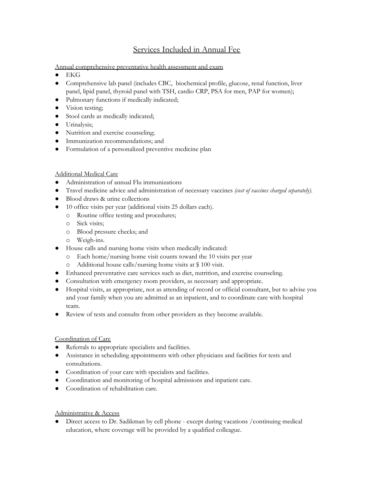## Services Included in Annual Fee

Annual comprehensive preventative health assessment and exam

- $\bullet$  EKG
- Comprehensive lab panel (includes CBC, biochemical profile, glucose, renal function, liver panel, lipid panel, thyroid panel with TSH, cardio CRP, PSA for men, PAP for women);
- Pulmonary functions if medically indicated;
- Vision testing;
- Stool cards as medically indicated;
- Urinalysis;
- Nutrition and exercise counseling;
- Immunization recommendations; and
- Formulation of a personalized preventive medicine plan

## Additional Medical Care

- Administration of annual Flu immunizations
- Travel medicine advice and administration of necessary vaccines *(cost of vaccines charged separately)*.
- Blood draws & urine collections
- 10 office visits per year (additional visits 25 dollars each).
	- o Routine office testing and procedures;
	- o Sick visits;
	- o Blood pressure checks; and
	- o Weigh-ins.
- House calls and nursing home visits when medically indicated:
	- o Each home/nursing home visit counts toward the 10 visits per year
	- o Additional house calls/nursing home visits at \$ 100 visit.
- Enhanced preventative care services such as diet, nutrition, and exercise counseling.
- Consultation with emergency room providers, as necessary and appropriate.
- Hospital visits, as appropriate, not as attending of record or official consultant, but to advise you and your family when you are admitted as an inpatient, and to coordinate care with hospital team.
- Review of tests and consults from other providers as they become available.

## Coordination of Care

- Referrals to appropriate specialists and facilities.
- Assistance in scheduling appointments with other physicians and facilities for tests and consultations.
- Coordination of your care with specialists and facilities.
- Coordination and monitoring of hospital admissions and inpatient care.
- Coordination of rehabilitation care.

## Administrative & Access

● Direct access to Dr. Sadikman by cell phone - except during vacations /continuing medical education, where coverage will be provided by a qualified colleague.